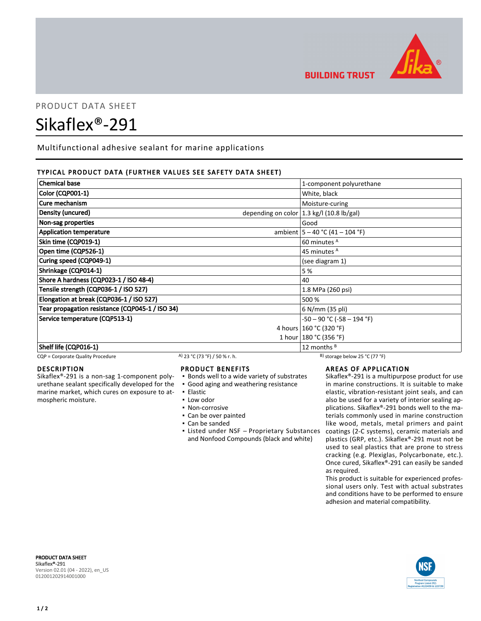

**BUILDING TRUST** 

# PRODUCT DATA SHEET

# Sikaflex®-291

Multifunctional adhesive sealant for marine applications

# TYPICAL PRODUCT DATA (FURTHER VALUES SEE SAFETY DATA SHEET)

| <b>Chemical base</b>                            | 1-component polyurethane                     |
|-------------------------------------------------|----------------------------------------------|
| <b>Color (CQP001-1)</b>                         | White, black                                 |
| Cure mechanism                                  | Moisture-curing                              |
| Density (uncured)                               | depending on color $ 1.3$ kg/l (10.8 lb/gal) |
| Non-sag properties                              | Good                                         |
| <b>Application temperature</b>                  | ambient $ 5 - 40$ °C (41 – 104 °F)           |
| Skin time (CQP019-1)                            | 60 minutes <sup>A</sup>                      |
| Open time (CQP526-1)                            | 45 minutes <sup>A</sup>                      |
| Curing speed (CQP049-1)                         | (see diagram 1)                              |
| Shrinkage (CQP014-1)                            | 5%                                           |
| Shore A hardness (CQP023-1 / ISO 48-4)          | 40                                           |
| Tensile strength (CQP036-1 / ISO 527)           | 1.8 MPa (260 psi)                            |
| Elongation at break (CQP036-1 / ISO 527)        | 500 %                                        |
| Tear propagation resistance (CQP045-1 / ISO 34) | 6 N/mm (35 pli)                              |
| Service temperature (CQP513-1)                  | $-50 - 90$ °C ( $-58 - 194$ °F)              |
|                                                 | 4 hours   160 °C (320 °F)                    |
|                                                 | 1 hour   180 °C (356 °F)                     |
| Shelf life (CQP016-1)                           | 12 months $B$                                |

CQP = Corporate Quality Procedure A) 23 °C (73 °F) / 50 % r. h. B) storage below 25 °C (77 °F)

### DESCRIPTION

Sikaflex®-291 is a non-sag 1-component polyurethane sealant specifically developed for the marine market, which cures on exposure to atmospheric moisture.

### PRODUCT BENEFITS

- Bonds well to a wide variety of substrates
- Good aging and weathering resistance
- Elastic
- Low odor
- Non-corrosive
- Can be over painted
- Can be sanded
- Listed under NSF Proprietary Substances and Nonfood Compounds (black and white)

# AREAS OF APPLICATION

Sikaflex®-291 is a multipurpose product for use in marine constructions. It is suitable to make elastic, vibration-resistant joint seals, and can also be used for a variety of interior sealing applications. Sikaflex®-291 bonds well to the materials commonly used in marine construction like wood, metals, metal primers and paint coatings (2-C systems), ceramic materials and plastics (GRP, etc.). Sikaflex®-291 must not be used to seal plastics that are prone to stress cracking (e.g. Plexiglas, Polycarbonate, etc.). Once cured, Sikaflex®-291 can easily be sanded as required.

This product is suitable for experienced professional users only. Test with actual substrates and conditions have to be performed to ensure adhesion and material compatibility.

PRODUCT DATA SHEET Sikaflex®-291 Version 02.01 (04 - 2022), en\_US 012001202914001000